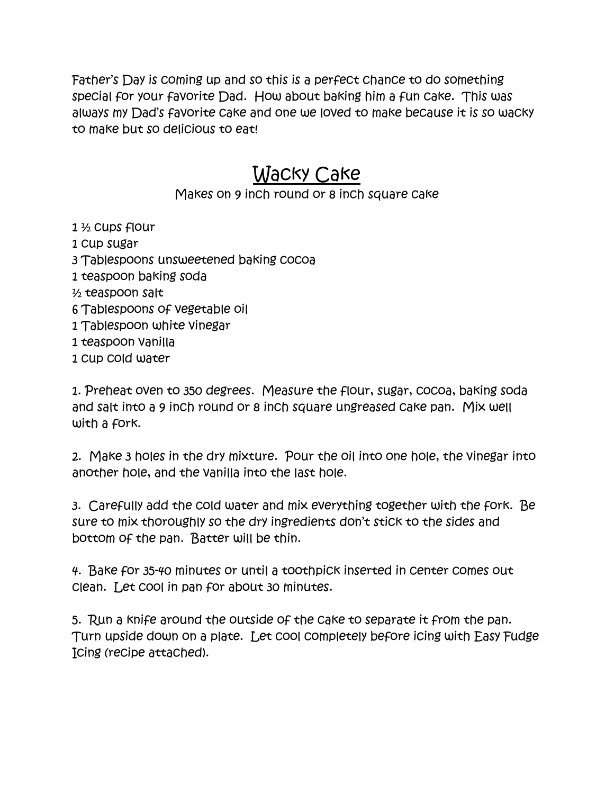Father's Day is coming up and so this is a perfect chance to do something special for your favorite Dad. How about baking him a fun cake. This was always my Dad's favorite cake and one we loved to make because it is so wacky to make but so delicious to eat!

## Wacky Cake

## Makes on 9 inch round or 8 inch square cake

1 ½ cups flour

- 1 cup sugar
- 3 Tablespoons unsweetened baking cocoa
- 1 teaspoon baking soda
- ½ teaspoon salt
- 6 Tablespoons of vegetable oil
- 1 Tablespoon white vinegar
- 1 teaspoon vanilla
- 1 cup cold water

1. Preheat oven to 350 degrees. Measure the flour, sugar, cocoa, baking soda and salt into a 9 inch round or 8 inch square ungreased cake pan. Mix well with a fork.

2. Make 3 holes in the dry mixture. Pour the oil into one hole, the vinegar into another hole, and the vanilla into the last hole.

3. Carefully add the cold water and mix everything together with the fork. Be sure to mix thoroughly so the dry ingredients don't stick to the sides and bottom of the pan. Batter will be thin.

4. Bake for 35-40 minutes or until a toothpick inserted in center comes out clean. Let cool in pan for about 30 minutes.

5. Run a knife around the outside of the cake to separate it from the pan. Turn upside down on a plate. Let cool completely before icing with Easy Fudge Icing (recipe attached).